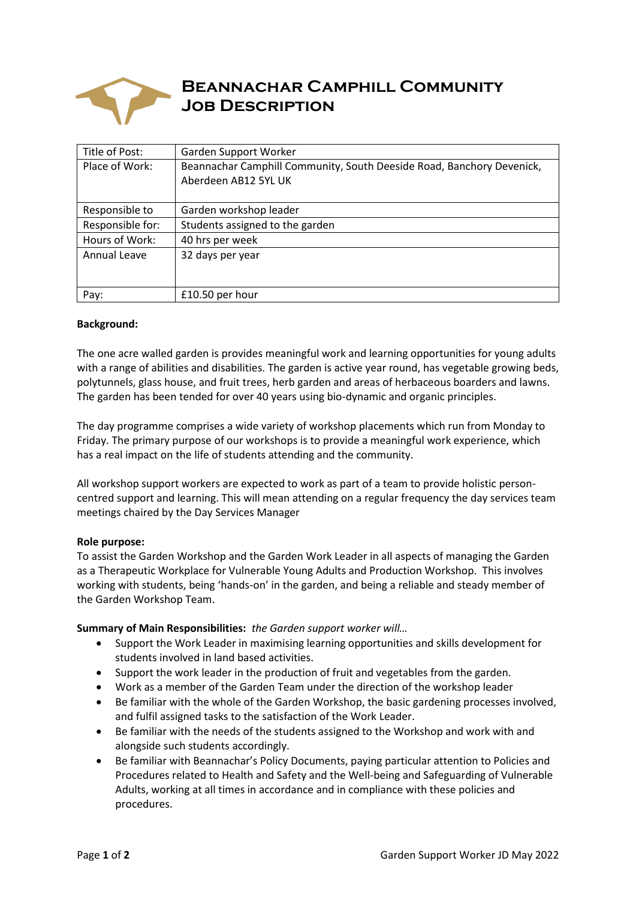

# **Beannachar Camphill Community Job Description**

| Title of Post:   | Garden Support Worker                                                                         |
|------------------|-----------------------------------------------------------------------------------------------|
| Place of Work:   | Beannachar Camphill Community, South Deeside Road, Banchory Devenick,<br>Aberdeen AB12 5YL UK |
| Responsible to   | Garden workshop leader                                                                        |
| Responsible for: | Students assigned to the garden                                                               |
| Hours of Work:   | 40 hrs per week                                                                               |
| Annual Leave     | 32 days per year                                                                              |
| Pay:             | £10.50 per hour                                                                               |

## **Background:**

The one acre walled garden is provides meaningful work and learning opportunities for young adults with a range of abilities and disabilities. The garden is active year round, has vegetable growing beds, polytunnels, glass house, and fruit trees, herb garden and areas of herbaceous boarders and lawns. The garden has been tended for over 40 years using bio-dynamic and organic principles.

The day programme comprises a wide variety of workshop placements which run from Monday to Friday. The primary purpose of our workshops is to provide a meaningful work experience, which has a real impact on the life of students attending and the community.

All workshop support workers are expected to work as part of a team to provide holistic personcentred support and learning. This will mean attending on a regular frequency the day services team meetings chaired by the Day Services Manager

## **Role purpose:**

To assist the Garden Workshop and the Garden Work Leader in all aspects of managing the Garden as a Therapeutic Workplace for Vulnerable Young Adults and Production Workshop. This involves working with students, being 'hands-on' in the garden, and being a reliable and steady member of the Garden Workshop Team.

**Summary of Main Responsibilities:** *the Garden support worker will…*

- Support the Work Leader in maximising learning opportunities and skills development for students involved in land based activities.
- Support the work leader in the production of fruit and vegetables from the garden.
- Work as a member of the Garden Team under the direction of the workshop leader
- Be familiar with the whole of the Garden Workshop, the basic gardening processes involved, and fulfil assigned tasks to the satisfaction of the Work Leader.
- Be familiar with the needs of the students assigned to the Workshop and work with and alongside such students accordingly.
- Be familiar with Beannachar's Policy Documents, paying particular attention to Policies and Procedures related to Health and Safety and the Well-being and Safeguarding of Vulnerable Adults, working at all times in accordance and in compliance with these policies and procedures.